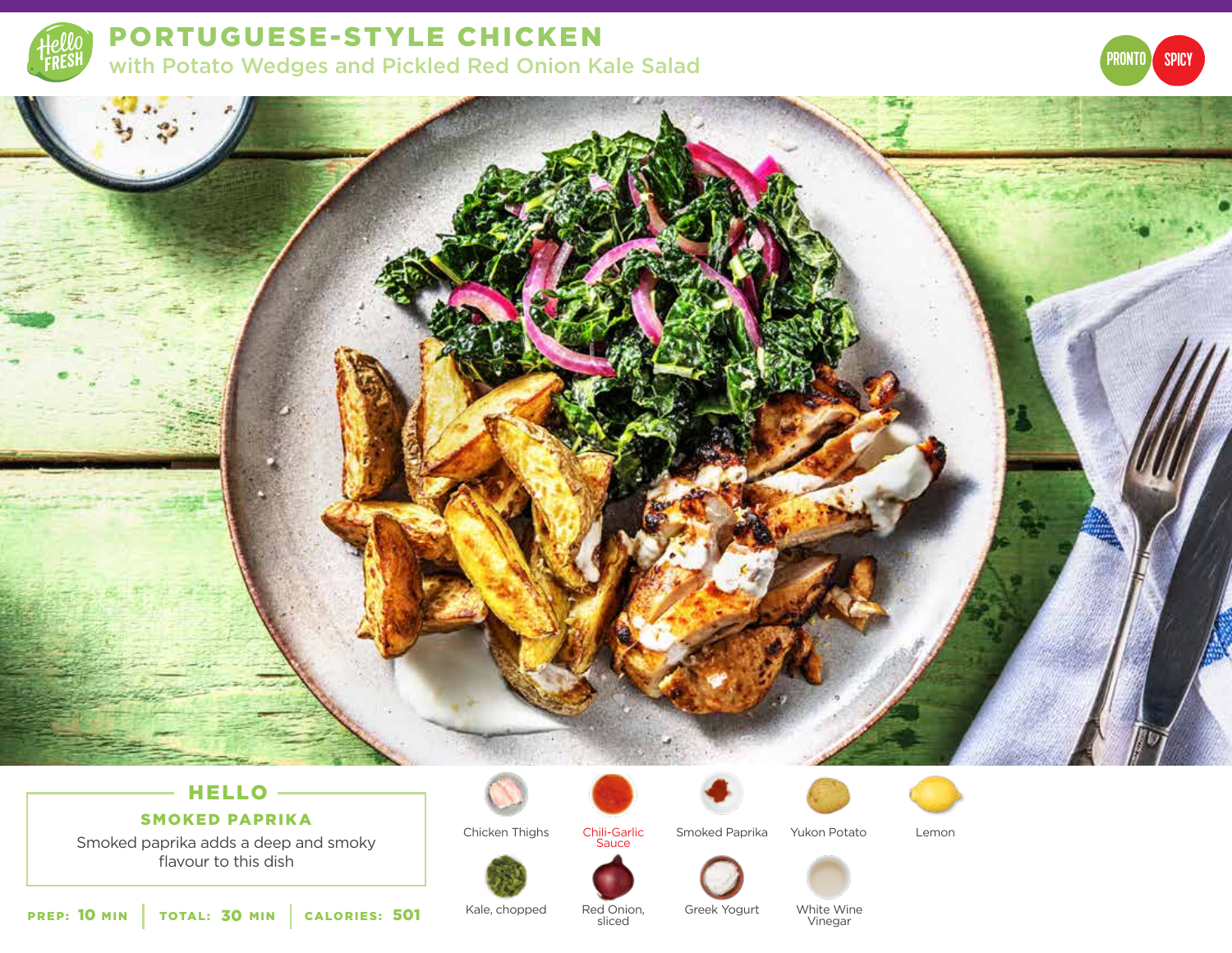

PORTUGUESE-STYLE CHICKEN with Potato Wedges and Pickled Red Onion Kale Salad





# HELLO -

SMOKED PAPRIKA

Smoked paprika adds a deep and smoky flavour to this dish





Chili-Garlic Smoked Paprika Yukon Potato Chili-Garlic<br>Sauce





Lemon

PREP: 10 MIN | TOTAL: 30 MIN | CALORIES:

**501** Kale, chopped Red Onion, Greek Yogurt

Chicken Thighs

Red Onion, sliced

White Wine Vinegar